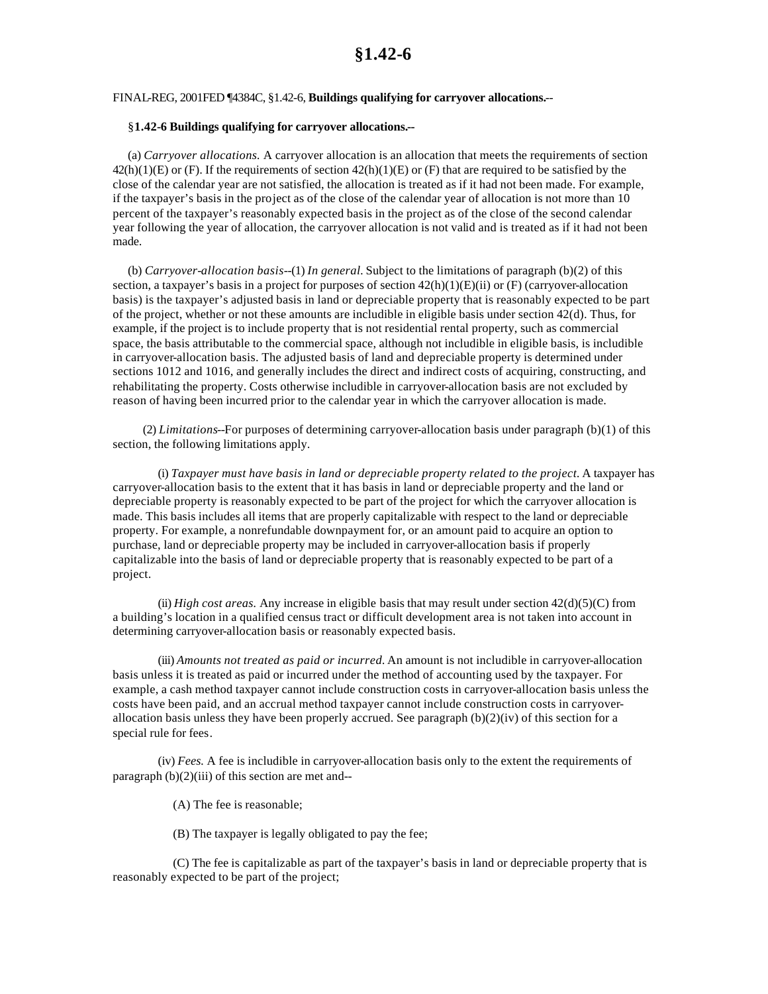## FINAL-REG, 2001FED ¶4384C, §1.42-6, **Buildings qualifying for carryover allocations.**--

## §**1.42-6 Buildings qualifying for carryover allocations.--**

(a) *Carryover allocations.* A carryover allocation is an allocation that meets the requirements of section  $42(h)(1)(E)$  or (F). If the requirements of section  $42(h)(1)(E)$  or (F) that are required to be satisfied by the close of the calendar year are not satisfied, the allocation is treated as if it had not been made. For example, if the taxpayer's basis in the project as of the close of the calendar year of allocation is not more than 10 percent of the taxpayer's reasonably expected basis in the project as of the close of the second calendar year following the year of allocation, the carryover allocation is not valid and is treated as if it had not been made.

(b) *Carryover-allocation basis*--(1) *In general.* Subject to the limitations of paragraph (b)(2) of this section, a taxpayer's basis in a project for purposes of section  $42(h)(1)(E)(ii)$  or (F) (carryover-allocation basis) is the taxpayer's adjusted basis in land or depreciable property that is reasonably expected to be part of the project, whether or not these amounts are includible in eligible basis under section 42(d). Thus, for example, if the project is to include property that is not residential rental property, such as commercial space, the basis attributable to the commercial space, although not includible in eligible basis, is includible in carryover-allocation basis. The adjusted basis of land and depreciable property is determined under sections 1012 and 1016, and generally includes the direct and indirect costs of acquiring, constructing, and rehabilitating the property. Costs otherwise includible in carryover-allocation basis are not excluded by reason of having been incurred prior to the calendar year in which the carryover allocation is made.

(2) *Limitations*--For purposes of determining carryover-allocation basis under paragraph (b)(1) of this section, the following limitations apply.

(i) *Taxpayer must have basis in land or depreciable property related to the project.* A taxpayer has carryover-allocation basis to the extent that it has basis in land or depreciable property and the land or depreciable property is reasonably expected to be part of the project for which the carryover allocation is made. This basis includes all items that are properly capitalizable with respect to the land or depreciable property. For example, a nonrefundable downpayment for, or an amount paid to acquire an option to purchase, land or depreciable property may be included in carryover-allocation basis if properly capitalizable into the basis of land or depreciable property that is reasonably expected to be part of a project.

(ii)  $High \ cost \ areas$ . Any increase in eligible basis that may result under section  $42(d)(5)(C)$  from a building's location in a qualified census tract or difficult development area is not taken into account in determining carryover-allocation basis or reasonably expected basis.

(iii) *Amounts not treated as paid or incurred.* An amount is not includible in carryover-allocation basis unless it is treated as paid or incurred under the method of accounting used by the taxpayer. For example, a cash method taxpayer cannot include construction costs in carryover-allocation basis unless the costs have been paid, and an accrual method taxpayer cannot include construction costs in carryoverallocation basis unless they have been properly accrued. See paragraph  $(b)(2)(iv)$  of this section for a special rule for fees.

(iv) *Fees.* A fee is includible in carryover-allocation basis only to the extent the requirements of paragraph (b)(2)(iii) of this section are met and--

(A) The fee is reasonable;

(B) The taxpayer is legally obligated to pay the fee;

(C) The fee is capitalizable as part of the taxpayer's basis in land or depreciable property that is reasonably expected to be part of the project;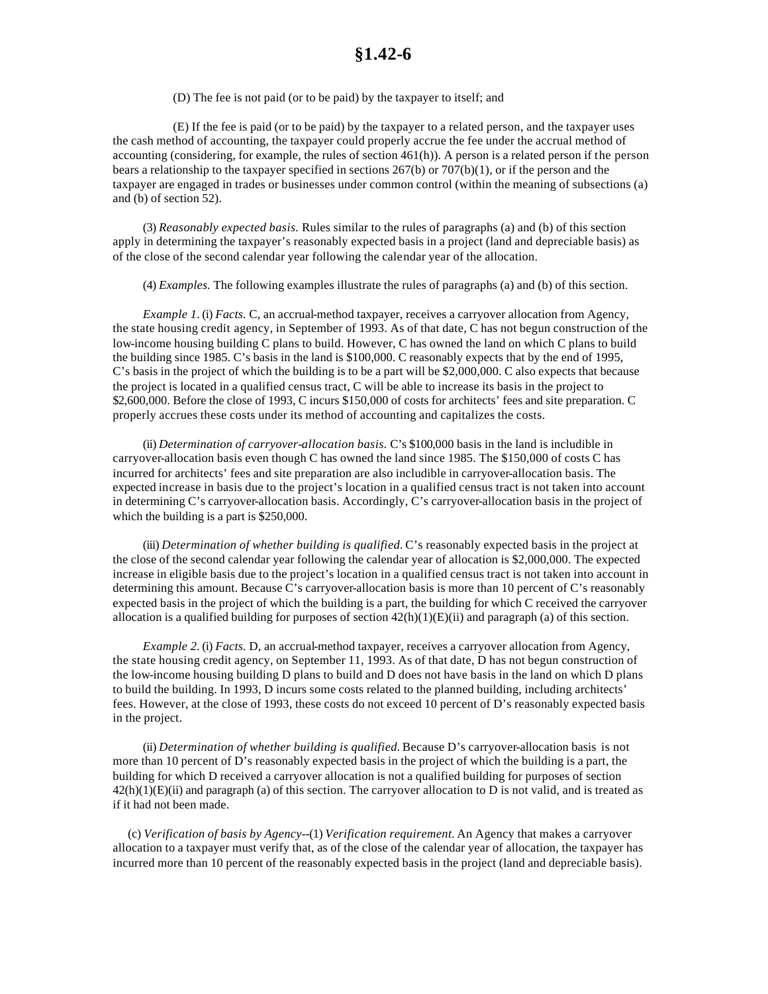(D) The fee is not paid (or to be paid) by the taxpayer to itself; and

(E) If the fee is paid (or to be paid) by the taxpayer to a related person, and the taxpayer uses the cash method of accounting, the taxpayer could properly accrue the fee under the accrual method of accounting (considering, for example, the rules of section  $461(h)$ ). A person is a related person if the person bears a relationship to the taxpayer specified in sections  $267(b)$  or  $707(b)(1)$ , or if the person and the taxpayer are engaged in trades or businesses under common control (within the meaning of subsections (a) and (b) of section 52).

(3) *Reasonably expected basis.* Rules similar to the rules of paragraphs (a) and (b) of this section apply in determining the taxpayer's reasonably expected basis in a project (land and depreciable basis) as of the close of the second calendar year following the calendar year of the allocation.

(4) *Examples.* The following examples illustrate the rules of paragraphs (a) and (b) of this section.

*Example 1.* (i) *Facts.* C, an accrual-method taxpayer, receives a carryover allocation from Agency, the state housing credit agency, in September of 1993. As of that date, C has not begun construction of the low-income housing building C plans to build. However, C has owned the land on which C plans to build the building since 1985. C's basis in the land is \$100,000. C reasonably expects that by the end of 1995, C's basis in the project of which the building is to be a part will be \$2,000,000. C also expects that because the project is located in a qualified census tract, C will be able to increase its basis in the project to \$2,600,000. Before the close of 1993, C incurs \$150,000 of costs for architects' fees and site preparation. C properly accrues these costs under its method of accounting and capitalizes the costs.

(ii) *Determination of carryover-allocation basis.* C's \$100,000 basis in the land is includible in carryover-allocation basis even though C has owned the land since 1985. The \$150,000 of costs C has incurred for architects' fees and site preparation are also includible in carryover-allocation basis. The expected increase in basis due to the project's location in a qualified census tract is not taken into account in determining C's carryover-allocation basis. Accordingly, C's carryover-allocation basis in the project of which the building is a part is \$250,000.

(iii) *Determination of whether building is qualified.* C's reasonably expected basis in the project at the close of the second calendar year following the calendar year of allocation is \$2,000,000. The expected increase in eligible basis due to the project's location in a qualified census tract is not taken into account in determining this amount. Because C's carryover-allocation basis is more than 10 percent of C's reasonably expected basis in the project of which the building is a part, the building for which C received the carryover allocation is a qualified building for purposes of section  $42(h)(1)(E)(ii)$  and paragraph (a) of this section.

*Example 2.* (i) *Facts.* D, an accrual-method taxpayer, receives a carryover allocation from Agency, the state housing credit agency, on September 11, 1993. As of that date, D has not begun construction of the low-income housing building D plans to build and D does not have basis in the land on which D plans to build the building. In 1993, D incurs some costs related to the planned building, including architects' fees. However, at the close of 1993, these costs do not exceed 10 percent of D's reasonably expected basis in the project.

(ii) *Determination of whether building is qualified.* Because D's carryover-allocation basis is not more than 10 percent of D's reasonably expected basis in the project of which the building is a part, the building for which D received a carryover allocation is not a qualified building for purposes of section  $42(h)(1)(E)(ii)$  and paragraph (a) of this section. The carryover allocation to D is not valid, and is treated as if it had not been made.

(c) *Verification of basis by Agency*--(1) *Verification requirement.* An Agency that makes a carryover allocation to a taxpayer must verify that, as of the close of the calendar year of allocation, the taxpayer has incurred more than 10 percent of the reasonably expected basis in the project (land and depreciable basis).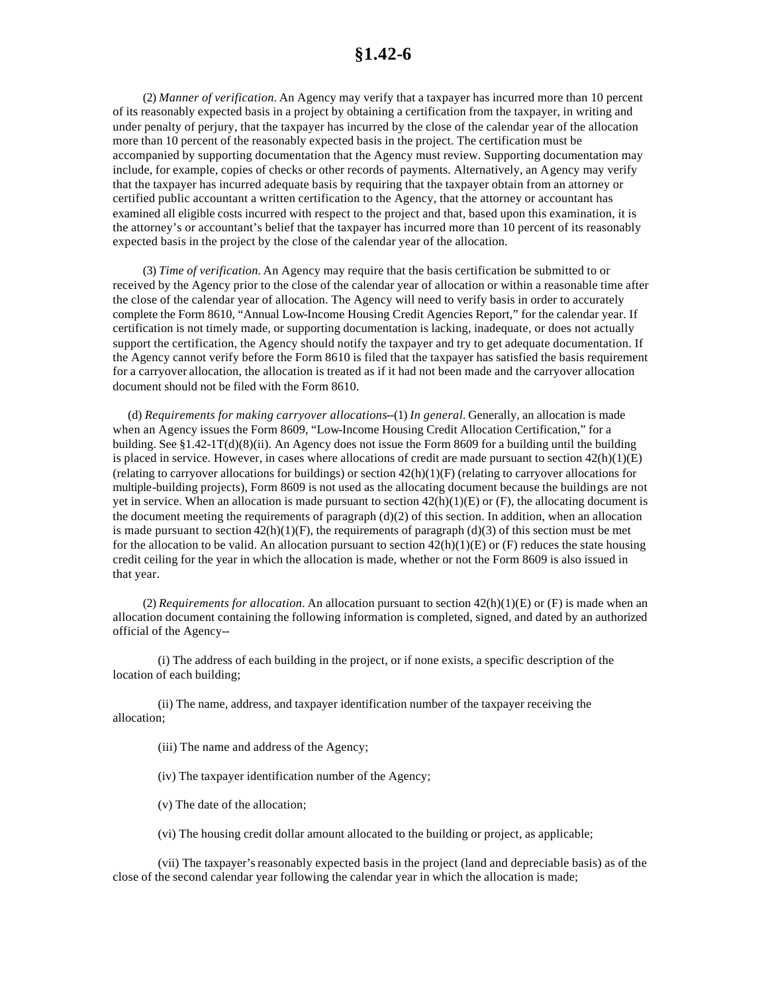(2) *Manner of verification.* An Agency may verify that a taxpayer has incurred more than 10 percent of its reasonably expected basis in a project by obtaining a certification from the taxpayer, in writing and under penalty of perjury, that the taxpayer has incurred by the close of the calendar year of the allocation more than 10 percent of the reasonably expected basis in the project. The certification must be accompanied by supporting documentation that the Agency must review. Supporting documentation may include, for example, copies of checks or other records of payments. Alternatively, an Agency may verify that the taxpayer has incurred adequate basis by requiring that the taxpayer obtain from an attorney or certified public accountant a written certification to the Agency, that the attorney or accountant has examined all eligible costs incurred with respect to the project and that, based upon this examination, it is the attorney's or accountant's belief that the taxpayer has incurred more than 10 percent of its reasonably expected basis in the project by the close of the calendar year of the allocation.

(3) *Time of verification.* An Agency may require that the basis certification be submitted to or received by the Agency prior to the close of the calendar year of allocation or within a reasonable time after the close of the calendar year of allocation. The Agency will need to verify basis in order to accurately complete the Form 8610, "Annual Low-Income Housing Credit Agencies Report," for the calendar year. If certification is not timely made, or supporting documentation is lacking, inadequate, or does not actually support the certification, the Agency should notify the taxpayer and try to get adequate documentation. If the Agency cannot verify before the Form 8610 is filed that the taxpayer has satisfied the basis requirement for a carryover allocation, the allocation is treated as if it had not been made and the carryover allocation document should not be filed with the Form 8610.

(d) *Requirements for making carryover allocations*--(1) *In general.* Generally, an allocation is made when an Agency issues the Form 8609, "Low-Income Housing Credit Allocation Certification," for a building. See §1.42-1T(d)(8)(ii). An Agency does not issue the Form 8609 for a building until the building is placed in service. However, in cases where allocations of credit are made pursuant to section  $42(h)(1)(E)$ (relating to carryover allocations for buildings) or section  $42(h)(1)(F)$  (relating to carryover allocations for multiple-building projects), Form 8609 is not used as the allocating document because the buildings are not yet in service. When an allocation is made pursuant to section  $42(h)(1)(E)$  or (F), the allocating document is the document meeting the requirements of paragraph  $(d)(2)$  of this section. In addition, when an allocation is made pursuant to section  $42(h)(1)(F)$ , the requirements of paragraph (d)(3) of this section must be met for the allocation to be valid. An allocation pursuant to section  $42(h)(1)(E)$  or (F) reduces the state housing credit ceiling for the year in which the allocation is made, whether or not the Form 8609 is also issued in that year.

(2) *Requirements for allocation*. An allocation pursuant to section  $42(h)(1)(E)$  or (F) is made when an allocation document containing the following information is completed, signed, and dated by an authorized official of the Agency--

(i) The address of each building in the project, or if none exists, a specific description of the location of each building;

(ii) The name, address, and taxpayer identification number of the taxpayer receiving the allocation;

(iii) The name and address of the Agency;

(iv) The taxpayer identification number of the Agency;

- (v) The date of the allocation;
- (vi) The housing credit dollar amount allocated to the building or project, as applicable;

(vii) The taxpayer's reasonably expected basis in the project (land and depreciable basis) as of the close of the second calendar year following the calendar year in which the allocation is made;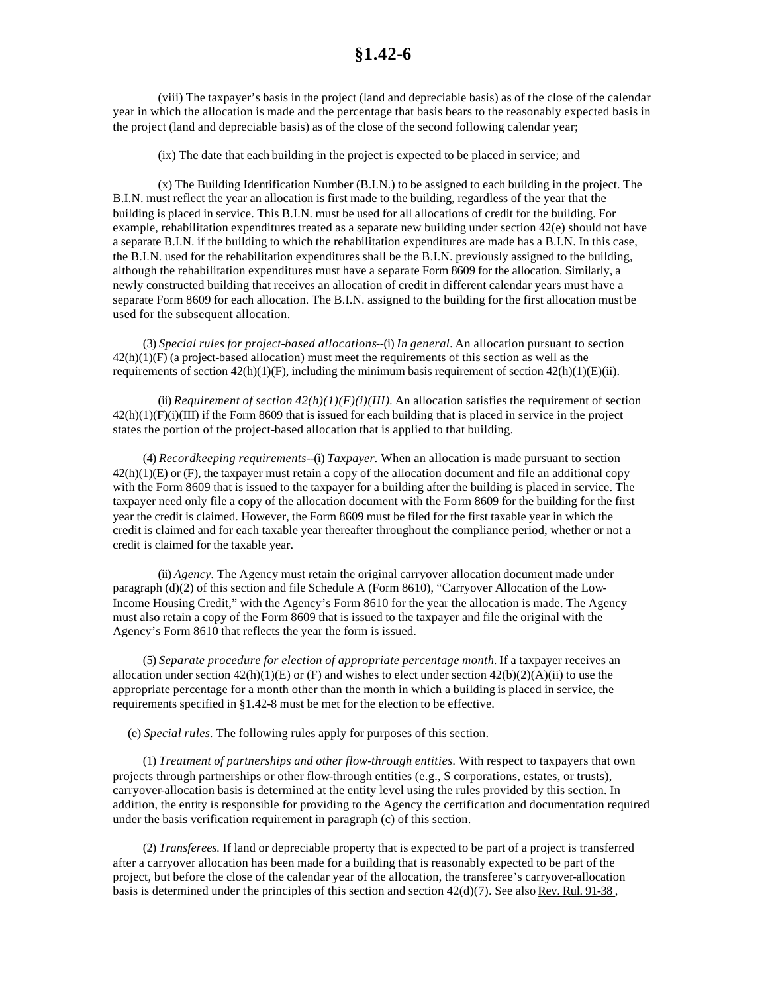(viii) The taxpayer's basis in the project (land and depreciable basis) as of the close of the calendar year in which the allocation is made and the percentage that basis bears to the reasonably expected basis in the project (land and depreciable basis) as of the close of the second following calendar year;

(ix) The date that each building in the project is expected to be placed in service; and

(x) The Building Identification Number (B.I.N.) to be assigned to each building in the project. The B.I.N. must reflect the year an allocation is first made to the building, regardless of the year that the building is placed in service. This B.I.N. must be used for all allocations of credit for the building. For example, rehabilitation expenditures treated as a separate new building under section 42(e) should not have a separate B.I.N. if the building to which the rehabilitation expenditures are made has a B.I.N. In this case, the B.I.N. used for the rehabilitation expenditures shall be the B.I.N. previously assigned to the building, although the rehabilitation expenditures must have a separate Form 8609 for the allocation. Similarly, a newly constructed building that receives an allocation of credit in different calendar years must have a separate Form 8609 for each allocation. The B.I.N. assigned to the building for the first allocation must be used for the subsequent allocation.

(3) *Special rules for project-based allocations*--(i) *In general.* An allocation pursuant to section  $42(h)(1)(F)$  (a project-based allocation) must meet the requirements of this section as well as the requirements of section  $42(h)(1)(F)$ , including the minimum basis requirement of section  $42(h)(1)(E)(ii)$ .

(ii) *Requirement of section*  $42(h)(I)(F)(i)(III)$ *.* An allocation satisfies the requirement of section  $42(h)(1)(F)(i)(III)$  if the Form 8609 that is issued for each building that is placed in service in the project states the portion of the project-based allocation that is applied to that building.

(4) *Recordkeeping requirements*--(i) *Taxpayer.* When an allocation is made pursuant to section  $42(h)(1)(E)$  or  $(F)$ , the taxpayer must retain a copy of the allocation document and file an additional copy with the Form 8609 that is issued to the taxpayer for a building after the building is placed in service. The taxpayer need only file a copy of the allocation document with the Form 8609 for the building for the first year the credit is claimed. However, the Form 8609 must be filed for the first taxable year in which the credit is claimed and for each taxable year thereafter throughout the compliance period, whether or not a credit is claimed for the taxable year.

(ii) *Agency.* The Agency must retain the original carryover allocation document made under paragraph (d)(2) of this section and file Schedule A (Form 8610), "Carryover Allocation of the Low-Income Housing Credit," with the Agency's Form 8610 for the year the allocation is made. The Agency must also retain a copy of the Form 8609 that is issued to the taxpayer and file the original with the Agency's Form 8610 that reflects the year the form is issued.

(5) *Separate procedure for election of appropriate percentage month.* If a taxpayer receives an allocation under section  $42(h)(1)(E)$  or (F) and wishes to elect under section  $42(b)(2)(A)(ii)$  to use the appropriate percentage for a month other than the month in which a building is placed in service, the requirements specified in §1.42-8 must be met for the election to be effective.

(e) *Special rules.* The following rules apply for purposes of this section.

(1) *Treatment of partnerships and other flow-through entities.* With respect to taxpayers that own projects through partnerships or other flow-through entities (e.g., S corporations, estates, or trusts), carryover-allocation basis is determined at the entity level using the rules provided by this section. In addition, the entity is responsible for providing to the Agency the certification and documentation required under the basis verification requirement in paragraph (c) of this section.

(2) *Transferees.* If land or depreciable property that is expected to be part of a project is transferred after a carryover allocation has been made for a building that is reasonably expected to be part of the project, but before the close of the calendar year of the allocation, the transferee's carryover-allocation basis is determined under the principles of this section and section  $42(d)(7)$ . See also Rev. Rul. 91-38,